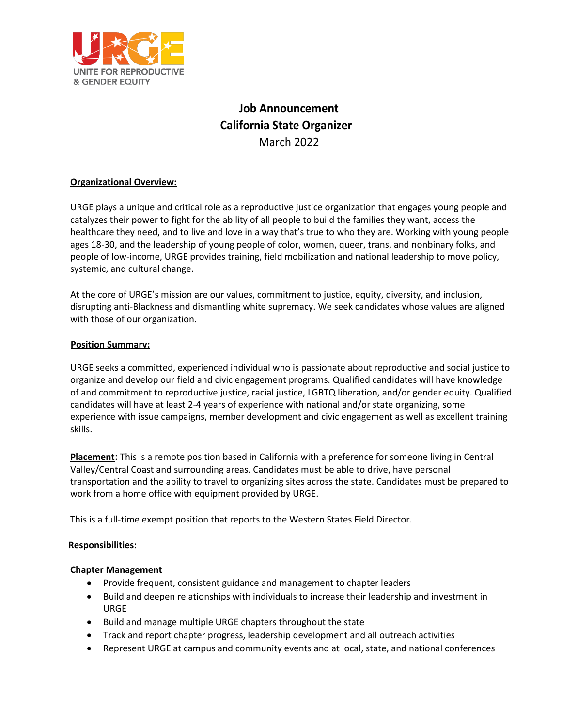

# **Job Announcement California State Organizer** March 2022

## **Organizational Overview:**

URGE plays a unique and critical role as a reproductive justice organization that engages young people and catalyzes their power to fight for the ability of all people to build the families they want, access the healthcare they need, and to live and love in a way that's true to who they are. Working with young people ages 18-30, and the leadership of young people of color, women, queer, trans, and nonbinary folks, and people of low-income, URGE provides training, field mobilization and national leadership to move policy, systemic, and cultural change.

At the core of URGE's mission are our values, commitment to justice, equity, diversity, and inclusion, disrupting anti-Blackness and dismantling white supremacy. We seek candidates whose values are aligned with those of our organization.

## **Position Summary:**

URGE seeks a committed, experienced individual who is passionate about reproductive and social justice to organize and develop our field and civic engagement programs. Qualified candidates will have knowledge of and commitment to reproductive justice, racial justice, LGBTQ liberation, and/or gender equity. Qualified candidates will have at least 2-4 years of experience with national and/or state organizing, some experience with issue campaigns, member development and civic engagement as well as excellent training skills.

**Placement**: This is a remote position based in California with a preference for someone living in Central Valley/Central Coast and surrounding areas. Candidates must be able to drive, have personal transportation and the ability to travel to organizing sites across the state. Candidates must be prepared to work from a home office with equipment provided by URGE.

This is a full-time exempt position that reports to the Western States Field Director.

## **Responsibilities:**

## **Chapter Management**

- Provide frequent, consistent guidance and management to chapter leaders
- Build and deepen relationships with individuals to increase their leadership and investment in URGE
- Build and manage multiple URGE chapters throughout the state
- Track and report chapter progress, leadership development and all outreach activities
- Represent URGE at campus and community events and at local, state, and national conferences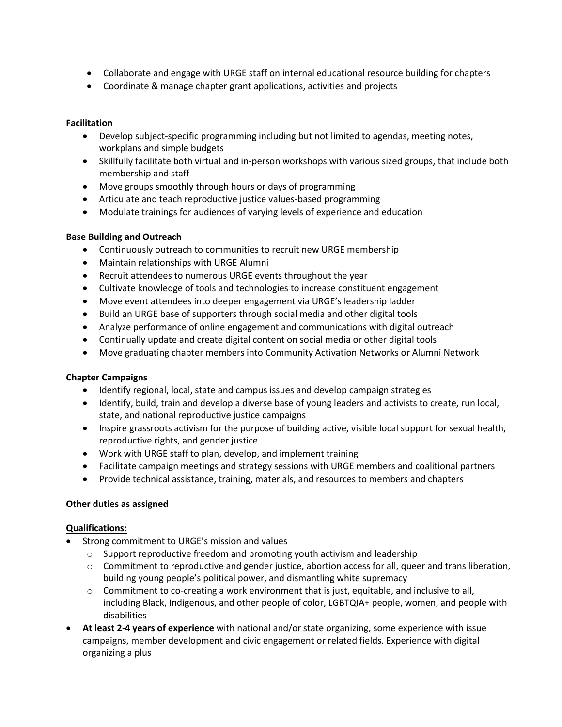- Collaborate and engage with URGE staff on internal educational resource building for chapters
- Coordinate & manage chapter grant applications, activities and projects

## **Facilitation**

- Develop subject-specific programming including but not limited to agendas, meeting notes, workplans and simple budgets
- Skillfully facilitate both virtual and in-person workshops with various sized groups, that include both membership and staff
- Move groups smoothly through hours or days of programming
- Articulate and teach reproductive justice values-based programming
- Modulate trainings for audiences of varying levels of experience and education

## **Base Building and Outreach**

- Continuously outreach to communities to recruit new URGE membership
- Maintain relationships with URGE Alumni
- Recruit attendees to numerous URGE events throughout the year
- Cultivate knowledge of tools and technologies to increase constituent engagement
- Move event attendees into deeper engagement via URGE's leadership ladder
- Build an URGE base of supporters through social media and other digital tools
- Analyze performance of online engagement and communications with digital outreach
- Continually update and create digital content on social media or other digital tools
- Move graduating chapter members into Community Activation Networks or Alumni Network

## **Chapter Campaigns**

- Identify regional, local, state and campus issues and develop campaign strategies
- Identify, build, train and develop a diverse base of young leaders and activists to create, run local, state, and national reproductive justice campaigns
- Inspire grassroots activism for the purpose of building active, visible local support for sexual health, reproductive rights, and gender justice
- Work with URGE staff to plan, develop, and implement training
- Facilitate campaign meetings and strategy sessions with URGE members and coalitional partners
- Provide technical assistance, training, materials, and resources to members and chapters

## **Other duties as assigned**

## **Qualifications:**

- Strong commitment to URGE's mission and values
	- o Support reproductive freedom and promoting youth activism and leadership
	- $\circ$  Commitment to reproductive and gender justice, abortion access for all, queer and trans liberation, building young people's political power, and dismantling white supremacy
	- o Commitment to co-creating a work environment that is just, equitable, and inclusive to all, including Black, Indigenous, and other people of color, LGBTQIA+ people, women, and people with disabilities
- **At least 2-4 years of experience** with national and/or state organizing, some experience with issue campaigns, member development and civic engagement or related fields. Experience with digital organizing a plus